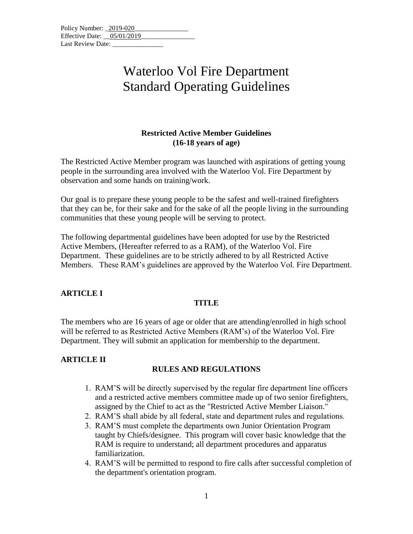| Policy Number: 2019-020    |  |
|----------------------------|--|
| Effective Date: 05/01/2019 |  |
| Last Review Date:          |  |

### **Restricted Active Member Guidelines (16-18 years of age)**

The Restricted Active Member program was launched with aspirations of getting young people in the surrounding area involved with the Waterloo Vol. Fire Department by observation and some hands on training/work.

Our goal is to prepare these young people to be the safest and well-trained firefighters that they can be, for their sake and for the sake of all the people living in the surrounding communities that these young people will be serving to protect.

The following departmental guidelines have been adopted for use by the Restricted Active Members, (Hereafter referred to as a RAM), of the Waterloo Vol. Fire Department. These guidelines are to be strictly adhered to by all Restricted Active Members. These RAM's guidelines are approved by the Waterloo Vol. Fire Department.

### **ARTICLE I**

### **TITLE**

The members who are 16 years of age or older that are attending/enrolled in high school will be referred to as Restricted Active Members (RAM's) of the Waterloo Vol. Fire Department. They will submit an application for membership to the department.

### **ARTICLE II**

### **RULES AND REGULATIONS**

- 1. RAM'S will be directly supervised by the regular fire department line officers and a restricted active members committee made up of two senior firefighters, assigned by the Chief to act as the "Restricted Active Member Liaison."
- 2. RAM'S shall abide by all federal, state and department rules and regulations.
- 3. RAM'S must complete the departments own Junior Orientation Program taught by Chiefs/designee. This program will cover basic knowledge that the RAM is require to understand; all department procedures and apparatus familiarization.
- 4. RAM'S will be permitted to respond to fire calls after successful completion of the department's orientation program.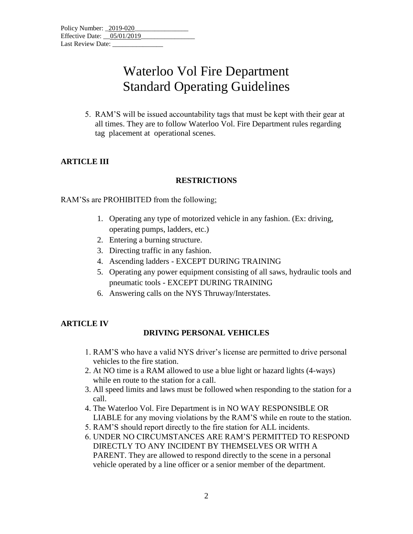5. RAM'S will be issued accountability tags that must be kept with their gear at all times. They are to follow Waterloo Vol. Fire Department rules regarding tag placement at operational scenes.

### **ARTICLE III**

### **RESTRICTIONS**

RAM'Ss are PROHIBITED from the following;

- 1. Operating any type of motorized vehicle in any fashion. (Ex: driving, operating pumps, ladders, etc.)
- 2. Entering a burning structure.
- 3. Directing traffic in any fashion.
- 4. Ascending ladders EXCEPT DURING TRAINING
- 5. Operating any power equipment consisting of all saws, hydraulic tools and pneumatic tools - EXCEPT DURING TRAINING
- 6. Answering calls on the NYS Thruway/Interstates.

### **ARTICLE IV**

### **DRIVING PERSONAL VEHICLES**

- 1. RAM'S who have a valid NYS driver's license are permitted to drive personal vehicles to the fire station.
- 2. At NO time is a RAM allowed to use a blue light or hazard lights (4-ways) while en route to the station for a call.
- 3. All speed limits and laws must be followed when responding to the station for a call.
- 4. The Waterloo Vol. Fire Department is in NO WAY RESPONSIBLE OR LIABLE for any moving violations by the RAM'S while en route to the station.
- 5. RAM'S should report directly to the fire station for ALL incidents.
- 6. UNDER NO CIRCUMSTANCES ARE RAM'S PERMITTED TO RESPOND DIRECTLY TO ANY INCIDENT BY THEMSELVES OR WITH A PARENT. They are allowed to respond directly to the scene in a personal vehicle operated by a line officer or a senior member of the department.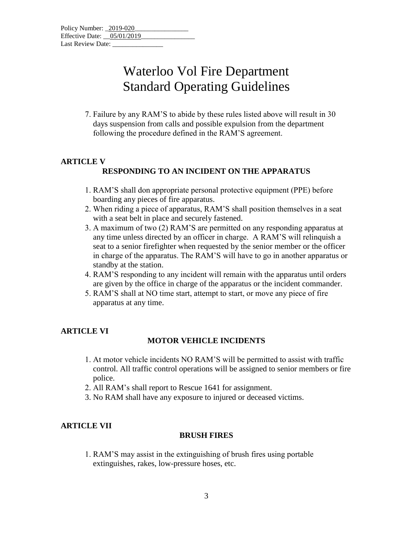7. Failure by any RAM'S to abide by these rules listed above will result in 30 days suspension from calls and possible expulsion from the department following the procedure defined in the RAM'S agreement.

### **ARTICLE V RESPONDING TO AN INCIDENT ON THE APPARATUS**

- 1. RAM'S shall don appropriate personal protective equipment (PPE) before boarding any pieces of fire apparatus.
- 2. When riding a piece of apparatus, RAM'S shall position themselves in a seat with a seat belt in place and securely fastened.
- 3. A maximum of two (2) RAM'S are permitted on any responding apparatus at any time unless directed by an officer in charge. A RAM'S will relinquish a seat to a senior firefighter when requested by the senior member or the officer in charge of the apparatus. The RAM'S will have to go in another apparatus or standby at the station.
- 4. RAM'S responding to any incident will remain with the apparatus until orders are given by the office in charge of the apparatus or the incident commander.
- 5. RAM'S shall at NO time start, attempt to start, or move any piece of fire apparatus at any time.

### **ARTICLE VI**

### **MOTOR VEHICLE INCIDENTS**

- 1. At motor vehicle incidents NO RAM'S will be permitted to assist with traffic control. All traffic control operations will be assigned to senior members or fire police.
- 2. All RAM's shall report to Rescue 1641 for assignment.
- 3. No RAM shall have any exposure to injured or deceased victims.

### **ARTICLE VII**

### **BRUSH FIRES**

1. RAM'S may assist in the extinguishing of brush fires using portable extinguishes, rakes, low-pressure hoses, etc.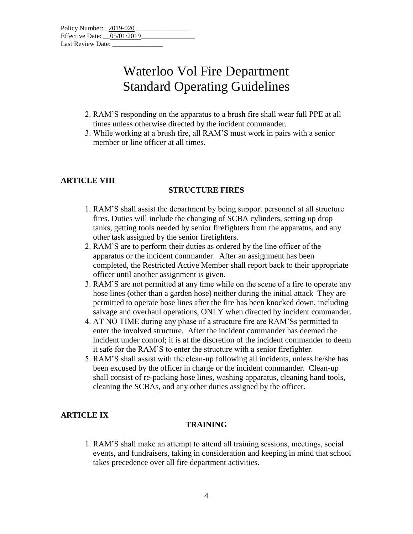- 2. RAM'S responding on the apparatus to a brush fire shall wear full PPE at all times unless otherwise directed by the incident commander.
- 3. While working at a brush fire, all RAM'S must work in pairs with a senior member or line officer at all times.

### **ARTICLE VIII**

#### **STRUCTURE FIRES**

- 1. RAM'S shall assist the department by being support personnel at all structure fires. Duties will include the changing of SCBA cylinders, setting up drop tanks, getting tools needed by senior firefighters from the apparatus, and any other task assigned by the senior firefighters.
- 2. RAM'S are to perform their duties as ordered by the line officer of the apparatus or the incident commander. After an assignment has been completed, the Restricted Active Member shall report back to their appropriate officer until another assignment is given.
- 3. RAM'S are not permitted at any time while on the scene of a fire to operate any hose lines (other than a garden hose) neither during the initial attack They are permitted to operate hose lines after the fire has been knocked down, including salvage and overhaul operations, ONLY when directed by incident commander.
- 4. AT NO TIME during any phase of a structure fire are RAM'Ss permitted to enter the involved structure. After the incident commander has deemed the incident under control; it is at the discretion of the incident commander to deem it safe for the RAM'S to enter the structure with a senior firefighter.
- 5. RAM'S shall assist with the clean-up following all incidents, unless he/she has been excused by the officer in charge or the incident commander. Clean-up shall consist of re-packing hose lines, washing apparatus, cleaning hand tools, cleaning the SCBAs, and any other duties assigned by the officer.

### **ARTICLE IX**

#### **TRAINING**

1. RAM'S shall make an attempt to attend all training sessions, meetings, social events, and fundraisers, taking in consideration and keeping in mind that school takes precedence over all fire department activities.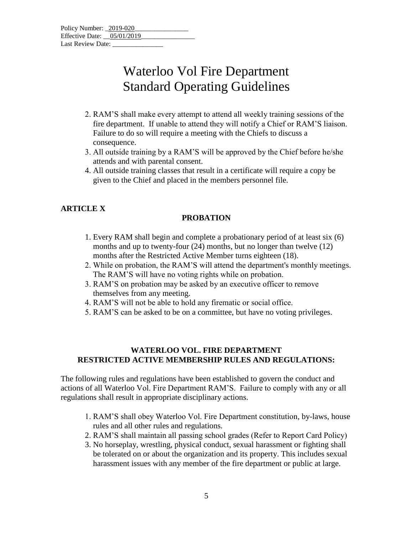| Policy Number: 2019-020      |  |  |  |
|------------------------------|--|--|--|
| Effective Date: $05/01/2019$ |  |  |  |
| Last Review Date:            |  |  |  |

- 2. RAM'S shall make every attempt to attend all weekly training sessions of the fire department. If unable to attend they will notify a Chief or RAM'S liaison. Failure to do so will require a meeting with the Chiefs to discuss a consequence.
- 3. All outside training by a RAM'S will be approved by the Chief before he/she attends and with parental consent.
- 4. All outside training classes that result in a certificate will require a copy be given to the Chief and placed in the members personnel file.

### **ARTICLE X**

#### **PROBATION**

- 1. Every RAM shall begin and complete a probationary period of at least six (6) months and up to twenty-four (24) months, but no longer than twelve (12) months after the Restricted Active Member turns eighteen (18).
- 2. While on probation, the RAM'S will attend the department's monthly meetings. The RAM'S will have no voting rights while on probation.
- 3. RAM'S on probation may be asked by an executive officer to remove themselves from any meeting.
- 4. RAM'S will not be able to hold any firematic or social office.
- 5. RAM'S can be asked to be on a committee, but have no voting privileges.

#### **WATERLOO VOL. FIRE DEPARTMENT RESTRICTED ACTIVE MEMBERSHIP RULES AND REGULATIONS:**

The following rules and regulations have been established to govern the conduct and actions of all Waterloo Vol. Fire Department RAM'S. Failure to comply with any or all regulations shall result in appropriate disciplinary actions.

- 1. RAM'S shall obey Waterloo Vol. Fire Department constitution, by-laws, house rules and all other rules and regulations.
- 2. RAM'S shall maintain all passing school grades (Refer to Report Card Policy)
- 3. No horseplay, wrestling, physical conduct, sexual harassment or fighting shall be tolerated on or about the organization and its property. This includes sexual harassment issues with any member of the fire department or public at large.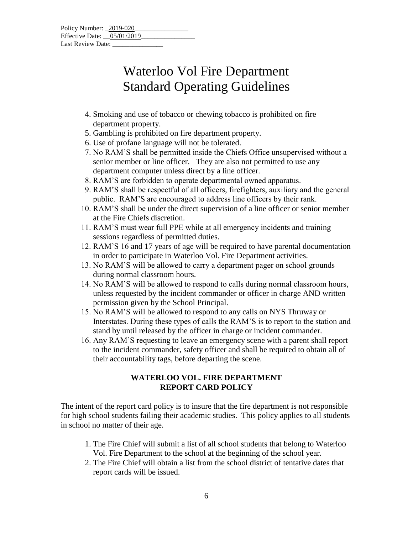| Policy Number: 2019-020      |  |  |  |
|------------------------------|--|--|--|
| Effective Date: $05/01/2019$ |  |  |  |
| Last Review Date:            |  |  |  |

- 4. Smoking and use of tobacco or chewing tobacco is prohibited on fire department property.
- 5. Gambling is prohibited on fire department property.
- 6. Use of profane language will not be tolerated.
- 7. No RAM'S shall be permitted inside the Chiefs Office unsupervised without a senior member or line officer. They are also not permitted to use any department computer unless direct by a line officer.
- 8. RAM'S are forbidden to operate departmental owned apparatus.
- 9. RAM'S shall be respectful of all officers, firefighters, auxiliary and the general public. RAM'S are encouraged to address line officers by their rank.
- 10. RAM'S shall be under the direct supervision of a line officer or senior member at the Fire Chiefs discretion.
- 11. RAM'S must wear full PPE while at all emergency incidents and training sessions regardless of permitted duties.
- 12. RAM'S 16 and 17 years of age will be required to have parental documentation in order to participate in Waterloo Vol. Fire Department activities.
- 13. No RAM'S will be allowed to carry a department pager on school grounds during normal classroom hours.
- 14. No RAM'S will be allowed to respond to calls during normal classroom hours, unless requested by the incident commander or officer in charge AND written permission given by the School Principal.
- 15. No RAM'S will be allowed to respond to any calls on NYS Thruway or Interstates. During these types of calls the RAM'S is to report to the station and stand by until released by the officer in charge or incident commander.
- 16. Any RAM'S requesting to leave an emergency scene with a parent shall report to the incident commander, safety officer and shall be required to obtain all of their accountability tags, before departing the scene.

### **WATERLOO VOL. FIRE DEPARTMENT REPORT CARD POLICY**

The intent of the report card policy is to insure that the fire department is not responsible for high school students failing their academic studies. This policy applies to all students in school no matter of their age.

- 1. The Fire Chief will submit a list of all school students that belong to Waterloo Vol. Fire Department to the school at the beginning of the school year.
- 2. The Fire Chief will obtain a list from the school district of tentative dates that report cards will be issued.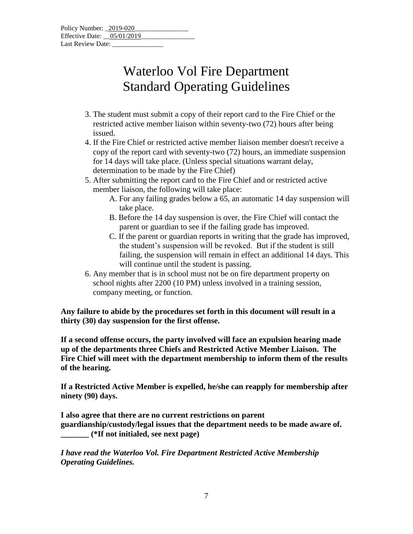| Policy Number: 2019-020    |  |
|----------------------------|--|
| Effective Date: 05/01/2019 |  |
| Last Review Date:          |  |

- 3. The student must submit a copy of their report card to the Fire Chief or the restricted active member liaison within seventy-two (72) hours after being issued.
- 4. If the Fire Chief or restricted active member liaison member doesn't receive a copy of the report card with seventy-two (72) hours, an immediate suspension for 14 days will take place. (Unless special situations warrant delay, determination to be made by the Fire Chief)
- 5. After submitting the report card to the Fire Chief and or restricted active member liaison, the following will take place:
	- A. For any failing grades below a 65, an automatic 14 day suspension will take place.
	- B. Before the 14 day suspension is over, the Fire Chief will contact the parent or guardian to see if the failing grade has improved.
	- C. If the parent or guardian reports in writing that the grade has improved, the student's suspension will be revoked. But if the student is still failing, the suspension will remain in effect an additional 14 days. This will continue until the student is passing.
- 6. Any member that is in school must not be on fire department property on school nights after 2200 (10 PM) unless involved in a training session, company meeting, or function.

**Any failure to abide by the procedures set forth in this document will result in a thirty (30) day suspension for the first offense.**

**If a second offense occurs, the party involved will face an expulsion hearing made up of the departments three Chiefs and Restricted Active Member Liaison. The Fire Chief will meet with the department membership to inform them of the results of the hearing.**

**If a Restricted Active Member is expelled, he/she can reapply for membership after ninety (90) days.**

**I also agree that there are no current restrictions on parent guardianship/custody/legal issues that the department needs to be made aware of. \_\_\_\_\_\_\_ (\*If not initialed, see next page)**

*I have read the Waterloo Vol. Fire Department Restricted Active Membership Operating Guidelines.*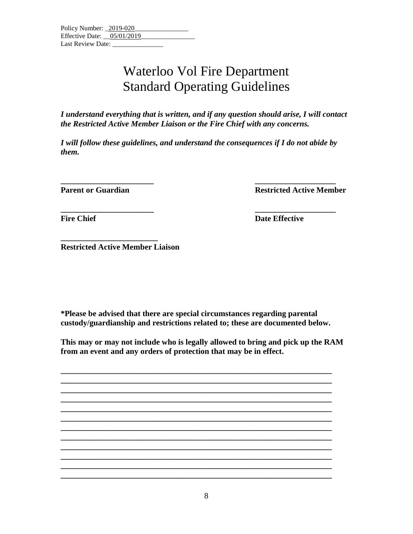*I understand everything that is written, and if any question should arise, I will contact the Restricted Active Member Liaison or the Fire Chief with any concerns.*

*I will follow these guidelines, and understand the consequences if I do not abide by them.*

**\_\_\_\_\_\_\_\_\_\_\_\_\_\_\_\_\_\_\_\_\_\_\_ \_\_\_\_\_\_\_\_\_\_\_\_\_\_\_\_\_\_\_\_**

**Parent or Guardian Restricted Active Member** 

**\_\_\_\_\_\_\_\_\_\_\_\_\_\_\_\_\_\_\_\_\_\_\_ \_\_\_\_\_\_\_\_\_\_\_\_\_\_\_\_\_\_\_\_**

**Fire Chief Date Effective** 

**Restricted Active Member Liaison**

**\_\_\_\_\_\_\_\_\_\_\_\_\_\_\_\_\_\_\_\_\_\_\_\_**

**\*Please be advised that there are special circumstances regarding parental custody/guardianship and restrictions related to; these are documented below.** 

**This may or may not include who is legally allowed to bring and pick up the RAM from an event and any orders of protection that may be in effect.**